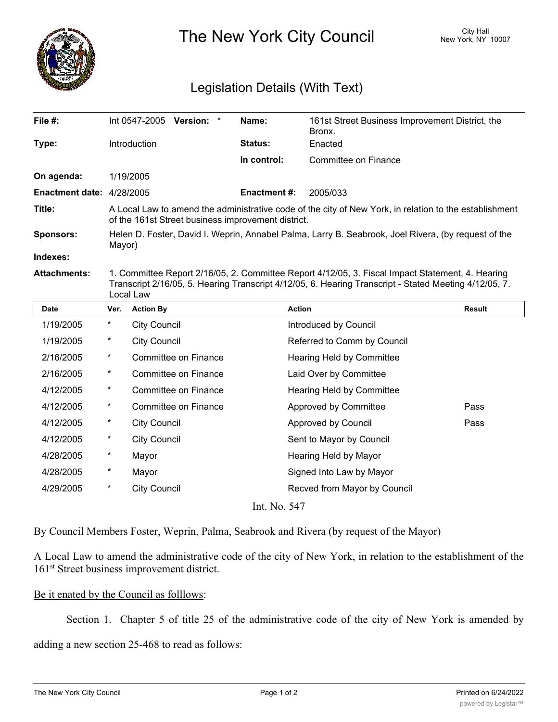

The New York City Council New York, NY 10007

## Legislation Details (With Text)

| File $#$ :                                    |                                                                                                                                                                                                                        | Int 0547-2005<br>Version:<br>$\ast$ | Name:               | 161st Street Business Improvement District, the<br>Bronx. |               |
|-----------------------------------------------|------------------------------------------------------------------------------------------------------------------------------------------------------------------------------------------------------------------------|-------------------------------------|---------------------|-----------------------------------------------------------|---------------|
| Type:                                         |                                                                                                                                                                                                                        | <b>Introduction</b>                 | <b>Status:</b>      | Enacted                                                   |               |
|                                               |                                                                                                                                                                                                                        |                                     | In control:         | Committee on Finance                                      |               |
| On agenda:                                    |                                                                                                                                                                                                                        | 1/19/2005                           |                     |                                                           |               |
| <b>Enactment date: <math>4/28/2005</math></b> |                                                                                                                                                                                                                        |                                     | <b>Enactment #:</b> | 2005/033                                                  |               |
| Title:                                        | A Local Law to amend the administrative code of the city of New York, in relation to the establishment<br>of the 161st Street business improvement district.                                                           |                                     |                     |                                                           |               |
| Sponsors:                                     | Helen D. Foster, David I. Weprin, Annabel Palma, Larry B. Seabrook, Joel Rivera, (by request of the<br>Mayor)                                                                                                          |                                     |                     |                                                           |               |
| Indexes:                                      |                                                                                                                                                                                                                        |                                     |                     |                                                           |               |
| <b>Attachments:</b>                           | 1. Committee Report 2/16/05, 2. Committee Report 4/12/05, 3. Fiscal Impact Statement, 4. Hearing<br>Transcript 2/16/05, 5. Hearing Transcript 4/12/05, 6. Hearing Transcript - Stated Meeting 4/12/05, 7.<br>Local Law |                                     |                     |                                                           |               |
| <b>Date</b>                                   | Ver.                                                                                                                                                                                                                   | <b>Action By</b>                    |                     | <b>Action</b>                                             | <b>Result</b> |
| 1/19/2005                                     | $\ast$                                                                                                                                                                                                                 | <b>City Council</b>                 |                     | Introduced by Council                                     |               |
| 1/19/2005                                     | $^\star$                                                                                                                                                                                                               | <b>City Council</b>                 |                     | Referred to Comm by Council                               |               |
| 2/16/2005                                     | $\ast$                                                                                                                                                                                                                 | Committee on Finance                |                     | Hearing Held by Committee                                 |               |
|                                               |                                                                                                                                                                                                                        |                                     |                     |                                                           |               |

4/12/2005 \* City Council **Approved by Council** Pass 4/12/2005 \* City Council Council Sent to Mayor by Council 4/28/2005 \* Mayor Mayor Hearing Held by Mayor 4/28/2005 \* Mayor Mayor Signed Into Law by Mayor 4/29/2005 \* City Council Recved from Mayor by Council Int. No. 547

4/12/2005 \* Committee on Finance Approved by Committee Pass

2/16/2005 \* Committee on Finance Laid Over by Committee 4/12/2005 \* Committee on Finance Hearing Held by Committee

By Council Members Foster, Weprin, Palma, Seabrook and Rivera (by request of the Mayor)

A Local Law to amend the administrative code of the city of New York, in relation to the establishment of the 161<sup>st</sup> Street business improvement district.

## Be it enated by the Council as folllows:

Section 1. Chapter 5 of title 25 of the administrative code of the city of New York is amended by

adding a new section 25-468 to read as follows: